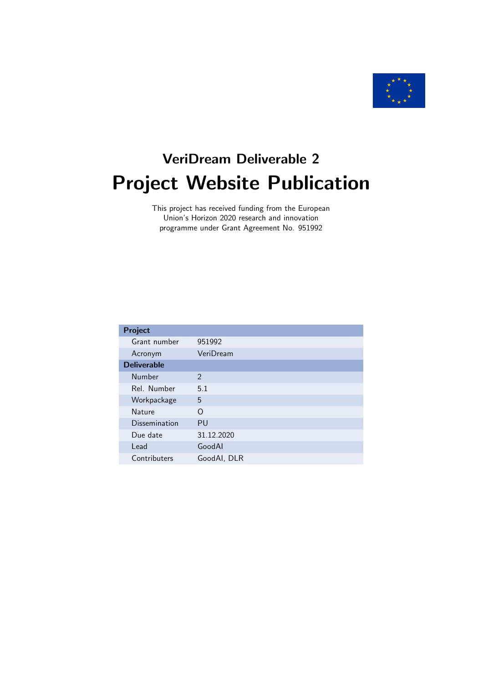

# VeriDream Deliverable 2 Project Website Publication

This project has received funding from the European Union's Horizon 2020 research and innovation programme under Grant Agreement No. 951992

| Project             |                |  |  |
|---------------------|----------------|--|--|
| Grant number        | 951992         |  |  |
| Acronym             | VeriDream      |  |  |
| <b>Deliverable</b>  |                |  |  |
| Number              | $\mathfrak{D}$ |  |  |
| Rel. Number         | 5.1            |  |  |
| Workpackage         | 5              |  |  |
| <b>Nature</b>       | ∩              |  |  |
| Dissemination<br>PU |                |  |  |
| Due date            | 31.12.2020     |  |  |
| Lead                | GoodAl         |  |  |
| Contributers        | GoodAI, DLR    |  |  |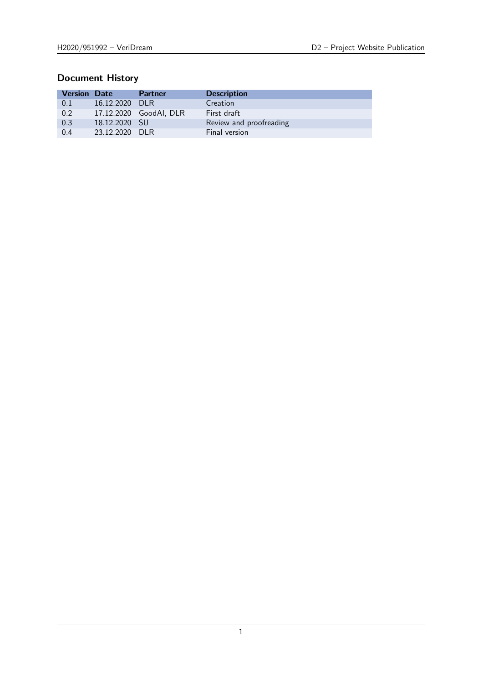# Document History

| <b>Version Date</b> |               | <b>Partner</b>         | <b>Description</b>      |
|---------------------|---------------|------------------------|-------------------------|
| 0.1                 | 16.12.2020    | - DI R                 | Creation                |
| 0.2                 |               | 17.12.2020 GoodAI, DLR | First draft             |
| 0.3                 | 18.12.2020 SU |                        | Review and proofreading |
| 0.4                 | 23.12.2020    | - DI R                 | Final version           |